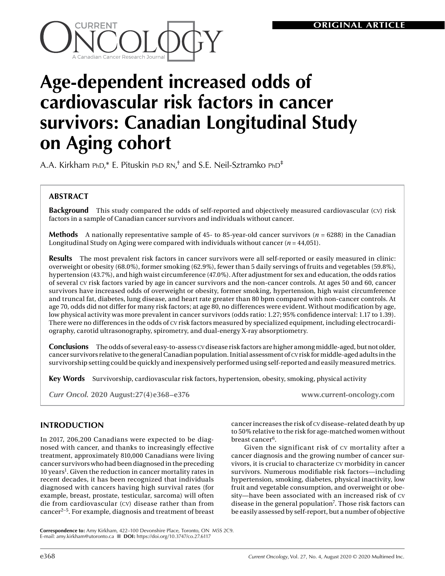

# **Age-dependent increased odds of cardiovascular risk factors in cancer survivors: Canadian Longitudinal Study on Aging cohort**

A.A. Kirkham  $PhD,^*$  E. Pituskin  $PhD RN,^{\dagger}$  and S.E. Neil-Sztramko  $PhD^{\dagger}$ 

# **ABSTRACT**

**Background** This study compared the odds of self-reported and objectively measured cardiovascular (cv) risk factors in a sample of Canadian cancer survivors and individuals without cancer.

**Methods** A nationally representative sample of 45- to 85-year-old cancer survivors (*n* = 6288) in the Canadian Longitudinal Study on Aging were compared with individuals without cancer  $(n = 44,051)$ .

**Results** The most prevalent risk factors in cancer survivors were all self-reported or easily measured in clinic: overweight or obesity (68.0%), former smoking (62.9%), fewer than 5 daily servings of fruits and vegetables (59.8%), hypertension (43.7%), and high waist circumference (47.0%). After adjustment for sex and education, the odds ratios of several cv risk factors varied by age in cancer survivors and the non-cancer controls. At ages 50 and 60, cancer survivors have increased odds of overweight or obesity, former smoking, hypertension, high waist circumference and truncal fat, diabetes, lung disease, and heart rate greater than 80 bpm compared with non-cancer controls. At age 70, odds did not differ for many risk factors; at age 80, no differences were evident. Without modification by age, low physical activity was more prevalent in cancer survivors (odds ratio: 1.27; 95% confidence interval: 1.17 to 1.39). There were no differences in the odds of cv risk factors measured by specialized equipment, including electrocardiography, carotid ultrasonography, spirometry, and dual-energy X-ray absorptiometry.

**Conclusions** The odds of several easy-to-assess cv disease risk factors are higher among middle-aged, but not older, cancer survivors relative to the general Canadian population. Initial assessment of cv risk for middle-aged adults in the survivorship setting could be quickly and inexpensively performed using self-reported and easily measured metrics.

**Key Words** Survivorship, cardiovascular risk factors, hypertension, obesity, smoking, physical activity

*Curr Oncol.* **2020 August:27(4)e368–e376 www.current-oncology.com**

## **INTRODUCTION**

In 2017, 206,200 Canadians were expected to be diagnosed with cancer, and thanks to increasingly effective treatment, approximately 810,000 Canadians were living cancer survivors who had been diagnosed in the preceding 10 years<sup>1</sup>. Given the reduction in cancer mortality rates in recent decades, it has been recognized that individuals diagnosed with cancers having high survival rates (for example, breast, prostate, testicular, sarcoma) will often die from cardiovascular (cv) disease rather than from cancer2–5. For example, diagnosis and treatment of breast cancer increases the risk of cv disease–related death by up to 50% relative to the risk for age-matched women without breast cancer<sup>6</sup>.

Given the significant risk of cv mortality after a cancer diagnosis and the growing number of cancer survivors, it is crucial to characterize cv morbidity in cancer survivors. Numerous modifiable risk factors—including hypertension, smoking, diabetes, physical inactivity, low fruit and vegetable consumption, and overweight or obesity—have been associated with an increased risk of cv disease in the general population<sup>7</sup>. Those risk factors can be easily assessed by self-report, but a number of objective

**Correspondence to:** Amy Kirkham, 422–100 Devonshire Place, Toronto, ON M5S 2C9. E-mail: [amy.kirkham@utoronto.ca](mailto:amy.kirkham@utoronto.ca) n **DOI:** https://doi.org/10.3747/co.27.6117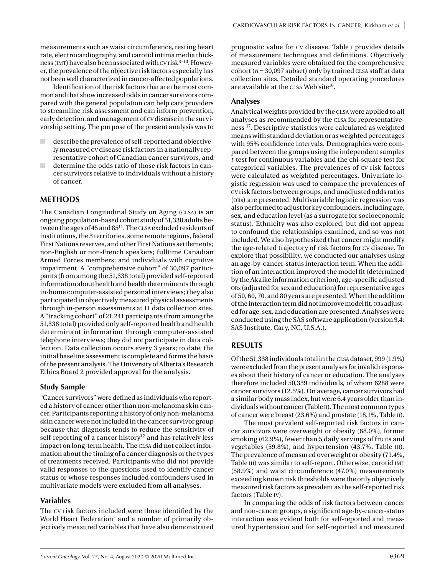measurements such as waist circumference, resting heart rate, electrocardiography, and carotid intima media thickness (IMT) have also been associated with  $cv$  risk $8-10$ . However, the prevalence of the objective risk factors especially has not been well characterized in cancer-affected populations.

Identification of the risk factors that are the most common and that show increased odds in cancer survivors compared with the general population can help care providers to streamline risk assessment and can inform prevention, early detection, and management of cv disease in the survivorship setting. The purpose of the present analysis was to

- $\Box$  describe the prevalence of self-reported and objectively measured cv disease risk factors in a nationally representative cohort of Canadian cancer survivors, and
- determine the odds ratio of those risk factors in cancer survivors relative to individuals without a history of cancer.

## **METHODS**

The Canadian Longitudinal Study on Aging (CLSA) is an ongoing population-based cohort study of 51,338 adults between the ages of 45 and 85<sup>11</sup>. The CLSA excluded residents of institutions, the 3 territories, some remote regions, federal First Nations reserves, and other First Nations settlements; non-English or non-French speakers; fulltime Canadian Armed Forces members; and individuals with cognitive impairment. A "comprehensive cohort" of 30,097 participants (from among the 51,338 total) provided self-reported information about health and health determinants through in-home computer-assisted personal interviews; they also participated in objectively measured physical assessments through in-person assessments at 11 data collection sites. A "tracking cohort" of 21,241 participants (from among the 51,338 total) provided only self-reported health and health determinant information through computer-assisted telephone interviews; they did not participate in data collection. Data collection occurs every 3 years; to date, the initial baseline assessment is complete and forms the basis of the present analysis. The University of Alberta's Research Ethics Board 2 provided approval for the analysis.

## **Study Sample**

"Cancer survivors" were defined as individuals who reported a history of cancer other than non-melanoma skin cancer. Participants reporting a history of only non-melanoma skin cancer were not included in the cancer survivor group because that diagnosis tends to reduce the sensitivity of self-reporting of a cancer history<sup>12</sup> and has relatively less impact on long-term health. The CLSA did not collect information about the timing of a cancer diagnosis or the types of treatments received. Participants who did not provide valid responses to the questions used to identify cancer status or whose responses included confounders used in multivariate models were excluded from all analyses.

## **Variables**

The cv risk factors included were those identified by the World Heart Federation<sup>7</sup> and a number of primarily objectively measured variables that have also demonstrated prognostic value for cv disease. Table i provides details of measurement techniques and definitions. Objectively measured variables were obtained for the comprehensive cohort ( $n = 30,097$  subset) only by trained CLSA staff at data collection sites. Detailed standard operating procedures are available at the CLSA Web site<sup>16</sup>.

## **Analyses**

Analytical weights provided by the clsa were applied to all analyses as recommended by the CLSA for representativeness 17. Descriptive statistics were calculated as weighted means with standard deviation or as weighted percentages with 95% confidence intervals. Demographics were compared between the groups using the independent samples *t-*test for continuous variables and the chi-square test for categorical variables. The prevalences of cv risk factors were calculated as weighted percentages. Univariate logistic regression was used to compare the prevalences of cv risk factors between groups, and unadjusted odds ratios (ors) are presented. Multivariable logistic regression was also performed to adjust for key confounders, including age, sex, and education level (as a surrogate for socioeconomic status). Ethnicity was also explored, but did not appear to confound the relationships examined, and so was not included. We also hypothesized that cancer might modify the age-related trajectory of risk factors for cv disease. To explore that possibility, we conducted our analyses using an age-by-cancer-status interaction term. When the addition of an interaction improved the model fit (determined by the Akaike information criterion), age-specific adjusted ors (adjusted for sex and education) for representative ages of 50, 60, 70, and 80 years are presented. When the addition of the interaction term did not improve model fit, ors adjusted for age, sex, and education are presented. Analyses were conducted using the SAS software application (version 9.4: SAS Institute, Cary, NC, U.S.A.).

## **RESULTS**

Of the 51,338 individuals total in the clsa dataset, 999 (1.9%) were excluded from the present analyses for invalid responses about their history of cancer or education. The analyses therefore included 50,339 individuals, of whom 6288 were cancer survivors (12.5%). On average, cancer survivors had a similar body mass index, but were 6.4 years older than individuals without cancer (Table ii). The most common types of cancer were breast (23.6%) and prostate (18.1%, Table ii).

The most prevalent self-reported risk factors in cancer survivors were overweight or obesity (68.0%), former smoking (62.9%), fewer than 5 daily servings of fruits and vegetables (59.8%), and hypertension (43.7%, Table iii). The prevalence of measured overweight or obesity (71.4%, Table III) was similar to self-report. Otherwise, carotid IMT (58.9%) and waist circumference (47.0%) measurements exceeding known risk thresholds were the only objectively measured risk factors as prevalent as the self-reported risk factors (Table iv).

In comparing the odds of risk factors between cancer and non-cancer groups, a significant age-by-cancer-status interaction was evident both for self-reported and measured hypertension and for self-reported and measured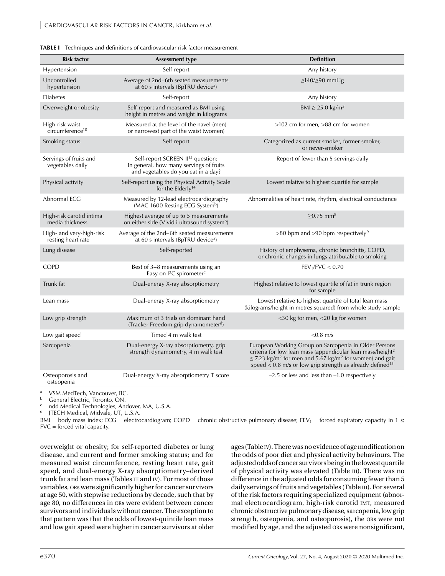| <b>Risk factor</b>                             | <b>Assessment type</b>                                                                                                          | <b>Definition</b>                                                                                                                                                                                                                                                                                  |
|------------------------------------------------|---------------------------------------------------------------------------------------------------------------------------------|----------------------------------------------------------------------------------------------------------------------------------------------------------------------------------------------------------------------------------------------------------------------------------------------------|
| Hypertension                                   | Self-report                                                                                                                     | Any history                                                                                                                                                                                                                                                                                        |
| Uncontrolled<br>hypertension                   | Average of 2nd-6th seated measurements<br>at 60 s intervals (BpTRU device <sup>a</sup> )                                        | $\geq$ 140/ $\geq$ 90 mmHg                                                                                                                                                                                                                                                                         |
| <b>Diabetes</b>                                | Self-report                                                                                                                     | Any history                                                                                                                                                                                                                                                                                        |
| Overweight or obesity                          | Self-report and measured as BMI using<br>height in metres and weight in kilograms                                               | BMI $\geq$ 25.0 kg/m <sup>2</sup>                                                                                                                                                                                                                                                                  |
| High-risk waist<br>circumference <sup>10</sup> | Measured at the level of the navel (men)<br>or narrowest part of the waist (women)                                              | $>102$ cm for men, $>88$ cm for women                                                                                                                                                                                                                                                              |
| Smoking status                                 | Self-report                                                                                                                     | Categorized as current smoker, former smoker,<br>or never-smoker                                                                                                                                                                                                                                   |
| Servings of fruits and<br>vegetables daily     | Self-report SCREEN II <sup>13</sup> question:<br>In general, how many servings of fruits<br>and vegetables do you eat in a day? | Report of fewer than 5 servings daily                                                                                                                                                                                                                                                              |
| Physical activity                              | Self-report using the Physical Activity Scale<br>for the Elderly <sup>14</sup>                                                  | Lowest relative to highest quartile for sample                                                                                                                                                                                                                                                     |
| Abnormal ECG                                   | Measured by 12-lead electrocardiography<br>(MAC 1600 Resting ECG Systemb)                                                       | Abnormalities of heart rate, rhythm, electrical conductance                                                                                                                                                                                                                                        |
| High-risk carotid intima<br>media thickness    | Highest average of up to 5 measurements<br>on either side (Vivid i ultrasound system <sup>b</sup> )                             | $≥0.75$ mm <sup>8</sup>                                                                                                                                                                                                                                                                            |
| High- and very-high-risk<br>resting heart rate | Average of the 2nd-6th seated measurements<br>at 60 s intervals (BpTRU device <sup>a</sup> )                                    | $>80$ bpm and $>90$ bpm respectively <sup>9</sup>                                                                                                                                                                                                                                                  |
| Lung disease                                   | Self-reported                                                                                                                   | History of emphysema, chronic bronchitis, COPD,<br>or chronic changes in lungs attributable to smoking                                                                                                                                                                                             |
| <b>COPD</b>                                    | Best of 3-8 measurements using an<br>Easy on-PC spirometer <sup>c</sup>                                                         | FEV <sub>1</sub> /FVC < 0.70                                                                                                                                                                                                                                                                       |
| Trunk fat                                      | Dual-energy X-ray absorptiometry                                                                                                | Highest relative to lowest quartile of fat in trunk region<br>for sample                                                                                                                                                                                                                           |
| Lean mass                                      | Dual-energy X-ray absorptiometry                                                                                                | Lowest relative to highest quartile of total lean mass<br>(kilograms/height in metres squared) from whole study sample                                                                                                                                                                             |
| Low grip strength                              | Maximum of 3 trials on dominant hand<br>(Tracker Freedom grip dynamometer <sup>d</sup> )                                        | <30 kg for men, <20 kg for women                                                                                                                                                                                                                                                                   |
| Low gait speed                                 | Timed 4 m walk test                                                                                                             | $< 0.8$ m/s                                                                                                                                                                                                                                                                                        |
| Sarcopenia                                     | Dual-energy X-ray absorptiometry, grip<br>strength dynamometry, 4 m walk test                                                   | European Working Group on Sarcopenia in Older Persons<br>criteria for low lean mass (appendicular lean mass/height <sup>2</sup><br>$\leq$ 7.23 kg/m <sup>2</sup> for men and 5.67 kg/m <sup>2</sup> for women) and gait<br>speed $< 0.8$ m/s or low grip strength as already defined <sup>15</sup> |
| Osteoporosis and<br>osteopenia                 | Dual-energy X-ray absorptiometry T score                                                                                        | $-2.5$ or less and less than $-1.0$ respectively                                                                                                                                                                                                                                                   |

|  |  | <b>TABLE I</b> Techniques and definitions of cardiovascular risk factor measurement |
|--|--|-------------------------------------------------------------------------------------|
|  |  |                                                                                     |

<sup>a</sup> VSM MedTech, Vancouver, BC.<br> $\frac{b}{c}$  Coneral Electric Terente ON

General Electric, Toronto, ON.

ndd Medical Technologies, Andover, MA, U.S.A.

<sup>d</sup> JTECH Medical, Midvale, UT, U.S.A.

BMI = body mass index; ECG = electrocardiogram; COPD = chronic obstructive pulmonary disease; FEV<sub>1</sub> = forced expiratory capacity in 1 s; FVC = forced vital capacity.

overweight or obesity; for self-reported diabetes or lung disease, and current and former smoking status; and for measured waist circumference, resting heart rate, gait speed, and dual-energy X-ray absorptiometry–derived trunk fat and lean mass (Tables iii and iv). For most of those variables, ors were significantly higher for cancer survivors at age 50, with stepwise reductions by decade, such that by age 80, no differences in ORs were evident between cancer survivors and individuals without cancer. The exception to that pattern was that the odds of lowest-quintile lean mass and low gait speed were higher in cancer survivors at older

ages (Table iv). There was no evidence of age modification on the odds of poor diet and physical activity behaviours. The adjusted odds of cancer survivors being in the lowest quartile of physical activity was elevated (Table III). There was no difference in the adjusted odds for consuming fewer than 5 daily servings of fruits and vegetables (Table III). For several of the risk factors requiring specialized equipment (abnormal electrocardiogram, high-risk carotid imt, measured chronic obstructive pulmonary disease, sarcopenia, low grip strength, osteopenia, and osteoporosis), the ORs were not modified by age, and the adjusted ors were nonsignificant,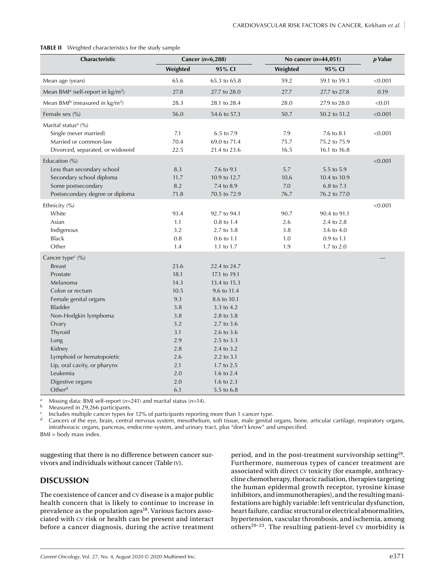#### **TABLE II** Weighted characteristics for the study sample

| Weighted<br>95% CI<br>Weighted<br>95% CI<br>65.6<br>65.3 to 65.8<br>59.2<br>59.1 to 59.3<br>< 0.001<br>Mean age (years)<br>Mean BMI <sup>a</sup> (self-report in $\text{kg/m}^2$ )<br>27.8<br>27.7<br>0.19<br>27.7 to 28.0<br>27.7 to 27.8<br>Mean BMI <sup>b</sup> (measured in $\text{kg/m}^2$ )<br>28.3<br>< 0.01<br>28.1 to 28.4<br>28.0<br>27.9 to 28.0<br>Female sex (%)<br>56.0<br>50.7<br>< 0.001<br>54.6 to 57.3<br>50.2 to 51.2<br>Marital status <sup>a</sup> (%)<br>Single (never married)<br>7.1<br>6.5 to 7.9<br>7.9<br>7.6 to 8.1<br>< 0.001<br>Married or common-law<br>70.4<br>69.0 to 71.4<br>75.7<br>75.2 to 75.9<br>Divorced, separated, or widowed<br>22.5<br>16.5<br>21.4 to 23.6<br>16.1 to 16.8<br>Education (%)<br>< 0.001<br>Less than secondary school<br>8.3<br>7.6 to 9.1<br>5.7<br>5.5 to 5.9<br>Secondary school diploma<br>11.7<br>10.9 to 12.7<br>10.6<br>10.4 to 10.9<br>Some postsecondary<br>8.2<br>7.0<br>6.8 to 7.3<br>7.4 to 8.9<br>Postsecondary degree or diploma<br>71.8<br>70.5 to 72.9<br>76.7<br>76.2 to 77.0<br>< 0.001<br>Ethnicity (%)<br>White<br>93.4<br>90.7<br>92.7 to 94.1<br>90.4 to 91.1<br>Asian<br>1.1<br>0.8 to 1.4<br>2.6<br>2.4 to 2.8<br>3.2<br>Indigenous<br>2.7 to 3.8<br>3.8<br>3.6 to 4.0<br><b>Black</b><br>0.8<br>0.6 to 1.1<br>1.0<br>0.9 to 1.1<br>Other<br>1.4<br>1.7 to 2.0<br>1.1 to 1.7<br>1.9<br>Cancer type <sup>c</sup> (%)<br><b>Breast</b><br>23.6<br>22.4 to 24.7<br>Prostate<br>18.1<br>17.1 to 19.1<br>Melanoma<br>14.3<br>13.4 to 15.3<br>10.5<br>Colon or rectum<br>9.6 to 11.4<br>9.3<br>Female genital organs<br>8.6 to 10.1<br>Bladder<br>3.8<br>3.3 to 4.2<br>Non-Hodgkin lymphoma<br>3.8<br>2.8 to 3.8<br>3.2<br>2.7 to 3.6<br>Ovary<br>Thyroid<br>3.1<br>2.6 to 3.6<br>Lung<br>2.9<br>2.5 to 3.3<br>Kidney<br>2.8<br>2.4 to 3.2<br>Lymphoid or hematopoietic<br>2.6<br>2.2 to 3.1<br>Lip, oral cavity, or pharynx<br>2.1<br>1.7 to 2.5<br>Leukemia<br>2.0<br>1.6 to 2.4<br>Digestive organs<br>2.0<br>1.6 to 2.3<br>Other <sup>d</sup><br>6.1<br>5.5 to 6.8 | Characteristic | Cancer $(n=6,288)$ | No cancer $(n=44,051)$ | $p$ Value |
|------------------------------------------------------------------------------------------------------------------------------------------------------------------------------------------------------------------------------------------------------------------------------------------------------------------------------------------------------------------------------------------------------------------------------------------------------------------------------------------------------------------------------------------------------------------------------------------------------------------------------------------------------------------------------------------------------------------------------------------------------------------------------------------------------------------------------------------------------------------------------------------------------------------------------------------------------------------------------------------------------------------------------------------------------------------------------------------------------------------------------------------------------------------------------------------------------------------------------------------------------------------------------------------------------------------------------------------------------------------------------------------------------------------------------------------------------------------------------------------------------------------------------------------------------------------------------------------------------------------------------------------------------------------------------------------------------------------------------------------------------------------------------------------------------------------------------------------------------------------------------------------------------------------------------------------------------------------------------------------------------------------------------------------------------|----------------|--------------------|------------------------|-----------|
|                                                                                                                                                                                                                                                                                                                                                                                                                                                                                                                                                                                                                                                                                                                                                                                                                                                                                                                                                                                                                                                                                                                                                                                                                                                                                                                                                                                                                                                                                                                                                                                                                                                                                                                                                                                                                                                                                                                                                                                                                                                      |                |                    |                        |           |
|                                                                                                                                                                                                                                                                                                                                                                                                                                                                                                                                                                                                                                                                                                                                                                                                                                                                                                                                                                                                                                                                                                                                                                                                                                                                                                                                                                                                                                                                                                                                                                                                                                                                                                                                                                                                                                                                                                                                                                                                                                                      |                |                    |                        |           |
|                                                                                                                                                                                                                                                                                                                                                                                                                                                                                                                                                                                                                                                                                                                                                                                                                                                                                                                                                                                                                                                                                                                                                                                                                                                                                                                                                                                                                                                                                                                                                                                                                                                                                                                                                                                                                                                                                                                                                                                                                                                      |                |                    |                        |           |
|                                                                                                                                                                                                                                                                                                                                                                                                                                                                                                                                                                                                                                                                                                                                                                                                                                                                                                                                                                                                                                                                                                                                                                                                                                                                                                                                                                                                                                                                                                                                                                                                                                                                                                                                                                                                                                                                                                                                                                                                                                                      |                |                    |                        |           |
|                                                                                                                                                                                                                                                                                                                                                                                                                                                                                                                                                                                                                                                                                                                                                                                                                                                                                                                                                                                                                                                                                                                                                                                                                                                                                                                                                                                                                                                                                                                                                                                                                                                                                                                                                                                                                                                                                                                                                                                                                                                      |                |                    |                        |           |
|                                                                                                                                                                                                                                                                                                                                                                                                                                                                                                                                                                                                                                                                                                                                                                                                                                                                                                                                                                                                                                                                                                                                                                                                                                                                                                                                                                                                                                                                                                                                                                                                                                                                                                                                                                                                                                                                                                                                                                                                                                                      |                |                    |                        |           |
|                                                                                                                                                                                                                                                                                                                                                                                                                                                                                                                                                                                                                                                                                                                                                                                                                                                                                                                                                                                                                                                                                                                                                                                                                                                                                                                                                                                                                                                                                                                                                                                                                                                                                                                                                                                                                                                                                                                                                                                                                                                      |                |                    |                        |           |
|                                                                                                                                                                                                                                                                                                                                                                                                                                                                                                                                                                                                                                                                                                                                                                                                                                                                                                                                                                                                                                                                                                                                                                                                                                                                                                                                                                                                                                                                                                                                                                                                                                                                                                                                                                                                                                                                                                                                                                                                                                                      |                |                    |                        |           |
|                                                                                                                                                                                                                                                                                                                                                                                                                                                                                                                                                                                                                                                                                                                                                                                                                                                                                                                                                                                                                                                                                                                                                                                                                                                                                                                                                                                                                                                                                                                                                                                                                                                                                                                                                                                                                                                                                                                                                                                                                                                      |                |                    |                        |           |
|                                                                                                                                                                                                                                                                                                                                                                                                                                                                                                                                                                                                                                                                                                                                                                                                                                                                                                                                                                                                                                                                                                                                                                                                                                                                                                                                                                                                                                                                                                                                                                                                                                                                                                                                                                                                                                                                                                                                                                                                                                                      |                |                    |                        |           |
|                                                                                                                                                                                                                                                                                                                                                                                                                                                                                                                                                                                                                                                                                                                                                                                                                                                                                                                                                                                                                                                                                                                                                                                                                                                                                                                                                                                                                                                                                                                                                                                                                                                                                                                                                                                                                                                                                                                                                                                                                                                      |                |                    |                        |           |
|                                                                                                                                                                                                                                                                                                                                                                                                                                                                                                                                                                                                                                                                                                                                                                                                                                                                                                                                                                                                                                                                                                                                                                                                                                                                                                                                                                                                                                                                                                                                                                                                                                                                                                                                                                                                                                                                                                                                                                                                                                                      |                |                    |                        |           |
|                                                                                                                                                                                                                                                                                                                                                                                                                                                                                                                                                                                                                                                                                                                                                                                                                                                                                                                                                                                                                                                                                                                                                                                                                                                                                                                                                                                                                                                                                                                                                                                                                                                                                                                                                                                                                                                                                                                                                                                                                                                      |                |                    |                        |           |
|                                                                                                                                                                                                                                                                                                                                                                                                                                                                                                                                                                                                                                                                                                                                                                                                                                                                                                                                                                                                                                                                                                                                                                                                                                                                                                                                                                                                                                                                                                                                                                                                                                                                                                                                                                                                                                                                                                                                                                                                                                                      |                |                    |                        |           |
|                                                                                                                                                                                                                                                                                                                                                                                                                                                                                                                                                                                                                                                                                                                                                                                                                                                                                                                                                                                                                                                                                                                                                                                                                                                                                                                                                                                                                                                                                                                                                                                                                                                                                                                                                                                                                                                                                                                                                                                                                                                      |                |                    |                        |           |
|                                                                                                                                                                                                                                                                                                                                                                                                                                                                                                                                                                                                                                                                                                                                                                                                                                                                                                                                                                                                                                                                                                                                                                                                                                                                                                                                                                                                                                                                                                                                                                                                                                                                                                                                                                                                                                                                                                                                                                                                                                                      |                |                    |                        |           |
|                                                                                                                                                                                                                                                                                                                                                                                                                                                                                                                                                                                                                                                                                                                                                                                                                                                                                                                                                                                                                                                                                                                                                                                                                                                                                                                                                                                                                                                                                                                                                                                                                                                                                                                                                                                                                                                                                                                                                                                                                                                      |                |                    |                        |           |
|                                                                                                                                                                                                                                                                                                                                                                                                                                                                                                                                                                                                                                                                                                                                                                                                                                                                                                                                                                                                                                                                                                                                                                                                                                                                                                                                                                                                                                                                                                                                                                                                                                                                                                                                                                                                                                                                                                                                                                                                                                                      |                |                    |                        |           |
|                                                                                                                                                                                                                                                                                                                                                                                                                                                                                                                                                                                                                                                                                                                                                                                                                                                                                                                                                                                                                                                                                                                                                                                                                                                                                                                                                                                                                                                                                                                                                                                                                                                                                                                                                                                                                                                                                                                                                                                                                                                      |                |                    |                        |           |
|                                                                                                                                                                                                                                                                                                                                                                                                                                                                                                                                                                                                                                                                                                                                                                                                                                                                                                                                                                                                                                                                                                                                                                                                                                                                                                                                                                                                                                                                                                                                                                                                                                                                                                                                                                                                                                                                                                                                                                                                                                                      |                |                    |                        |           |
|                                                                                                                                                                                                                                                                                                                                                                                                                                                                                                                                                                                                                                                                                                                                                                                                                                                                                                                                                                                                                                                                                                                                                                                                                                                                                                                                                                                                                                                                                                                                                                                                                                                                                                                                                                                                                                                                                                                                                                                                                                                      |                |                    |                        |           |
|                                                                                                                                                                                                                                                                                                                                                                                                                                                                                                                                                                                                                                                                                                                                                                                                                                                                                                                                                                                                                                                                                                                                                                                                                                                                                                                                                                                                                                                                                                                                                                                                                                                                                                                                                                                                                                                                                                                                                                                                                                                      |                |                    |                        |           |
|                                                                                                                                                                                                                                                                                                                                                                                                                                                                                                                                                                                                                                                                                                                                                                                                                                                                                                                                                                                                                                                                                                                                                                                                                                                                                                                                                                                                                                                                                                                                                                                                                                                                                                                                                                                                                                                                                                                                                                                                                                                      |                |                    |                        |           |
|                                                                                                                                                                                                                                                                                                                                                                                                                                                                                                                                                                                                                                                                                                                                                                                                                                                                                                                                                                                                                                                                                                                                                                                                                                                                                                                                                                                                                                                                                                                                                                                                                                                                                                                                                                                                                                                                                                                                                                                                                                                      |                |                    |                        |           |
|                                                                                                                                                                                                                                                                                                                                                                                                                                                                                                                                                                                                                                                                                                                                                                                                                                                                                                                                                                                                                                                                                                                                                                                                                                                                                                                                                                                                                                                                                                                                                                                                                                                                                                                                                                                                                                                                                                                                                                                                                                                      |                |                    |                        |           |
|                                                                                                                                                                                                                                                                                                                                                                                                                                                                                                                                                                                                                                                                                                                                                                                                                                                                                                                                                                                                                                                                                                                                                                                                                                                                                                                                                                                                                                                                                                                                                                                                                                                                                                                                                                                                                                                                                                                                                                                                                                                      |                |                    |                        |           |
|                                                                                                                                                                                                                                                                                                                                                                                                                                                                                                                                                                                                                                                                                                                                                                                                                                                                                                                                                                                                                                                                                                                                                                                                                                                                                                                                                                                                                                                                                                                                                                                                                                                                                                                                                                                                                                                                                                                                                                                                                                                      |                |                    |                        |           |
|                                                                                                                                                                                                                                                                                                                                                                                                                                                                                                                                                                                                                                                                                                                                                                                                                                                                                                                                                                                                                                                                                                                                                                                                                                                                                                                                                                                                                                                                                                                                                                                                                                                                                                                                                                                                                                                                                                                                                                                                                                                      |                |                    |                        |           |
|                                                                                                                                                                                                                                                                                                                                                                                                                                                                                                                                                                                                                                                                                                                                                                                                                                                                                                                                                                                                                                                                                                                                                                                                                                                                                                                                                                                                                                                                                                                                                                                                                                                                                                                                                                                                                                                                                                                                                                                                                                                      |                |                    |                        |           |
|                                                                                                                                                                                                                                                                                                                                                                                                                                                                                                                                                                                                                                                                                                                                                                                                                                                                                                                                                                                                                                                                                                                                                                                                                                                                                                                                                                                                                                                                                                                                                                                                                                                                                                                                                                                                                                                                                                                                                                                                                                                      |                |                    |                        |           |
|                                                                                                                                                                                                                                                                                                                                                                                                                                                                                                                                                                                                                                                                                                                                                                                                                                                                                                                                                                                                                                                                                                                                                                                                                                                                                                                                                                                                                                                                                                                                                                                                                                                                                                                                                                                                                                                                                                                                                                                                                                                      |                |                    |                        |           |
|                                                                                                                                                                                                                                                                                                                                                                                                                                                                                                                                                                                                                                                                                                                                                                                                                                                                                                                                                                                                                                                                                                                                                                                                                                                                                                                                                                                                                                                                                                                                                                                                                                                                                                                                                                                                                                                                                                                                                                                                                                                      |                |                    |                        |           |
|                                                                                                                                                                                                                                                                                                                                                                                                                                                                                                                                                                                                                                                                                                                                                                                                                                                                                                                                                                                                                                                                                                                                                                                                                                                                                                                                                                                                                                                                                                                                                                                                                                                                                                                                                                                                                                                                                                                                                                                                                                                      |                |                    |                        |           |
|                                                                                                                                                                                                                                                                                                                                                                                                                                                                                                                                                                                                                                                                                                                                                                                                                                                                                                                                                                                                                                                                                                                                                                                                                                                                                                                                                                                                                                                                                                                                                                                                                                                                                                                                                                                                                                                                                                                                                                                                                                                      |                |                    |                        |           |
|                                                                                                                                                                                                                                                                                                                                                                                                                                                                                                                                                                                                                                                                                                                                                                                                                                                                                                                                                                                                                                                                                                                                                                                                                                                                                                                                                                                                                                                                                                                                                                                                                                                                                                                                                                                                                                                                                                                                                                                                                                                      |                |                    |                        |           |
|                                                                                                                                                                                                                                                                                                                                                                                                                                                                                                                                                                                                                                                                                                                                                                                                                                                                                                                                                                                                                                                                                                                                                                                                                                                                                                                                                                                                                                                                                                                                                                                                                                                                                                                                                                                                                                                                                                                                                                                                                                                      |                |                    |                        |           |
|                                                                                                                                                                                                                                                                                                                                                                                                                                                                                                                                                                                                                                                                                                                                                                                                                                                                                                                                                                                                                                                                                                                                                                                                                                                                                                                                                                                                                                                                                                                                                                                                                                                                                                                                                                                                                                                                                                                                                                                                                                                      |                |                    |                        |           |

<sup>a</sup> Missing data: BMI self-report  $(n=241)$  and marital status  $(n=14)$ .<br><sup>b</sup> Mossured in 29.266 participants

Measured in 29,266 participants.

<sup>c</sup> Includes multiple cancer types for 12% of participants reporting more than 1 cancer type.

Cancers of the eye, brain, central nervous system, mesothelium, soft tissue, male genital organs, bone, articular cartilage, respiratory organs, intrathoracic organs, pancreas, endocrine system, and urinary tract, plus "don't know" and unspecified.

BMI = body mass index.

suggesting that there is no difference between cancer survivors and individuals without cancer (Table iv).

## **DISCUSSION**

The coexistence of cancer and cv disease is a major public health concern that is likely to continue to increase in prevalence as the population ages<sup>18</sup>. Various factors associated with cv risk or health can be present and interact before a cancer diagnosis, during the active treatment

period, and in the post-treatment survivorship setting19. Furthermore, numerous types of cancer treatment are associated with direct cv toxicity (for example, anthracycline chemotherapy, thoracic radiation, therapies targeting the human epidermal growth receptor, tyrosine kinase inhibitors, and immunotherapies), and the resulting manifestations are highly variable: left ventricular dysfunction, heart failure, cardiac structural or electrical abnormalities, hypertension, vascular thrombosis, and ischemia, among others<sup>20–23</sup>. The resulting patient-level  $\alpha$  morbidity is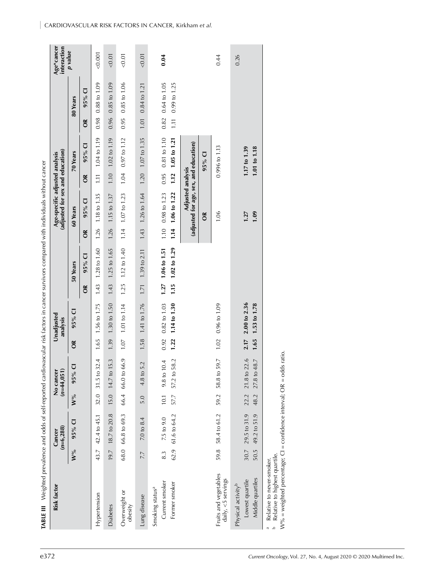| M<br>۰,<br>۰.<br>× |  |
|--------------------|--|
|--------------------|--|

| CARDIOVASCULAR RISK FACTORS IN CANCER, Kirkham et al. |                |      |   |  |  |
|-------------------------------------------------------|----------------|------|---|--|--|
|                                                       | $\overline{5}$ | 0.01 | ā |  |  |

| $\overline{\cup}$<br>$95\%$<br>$M^{9/6}$                                                                                 |                        | No cancer<br>$(n=44,051)$                    |              | Unadjusted<br>analysis           |              |                              |              | Age-specific adjusted analysis<br>(adjusted for sex and education) |              |                                   |               |                                | Age*cancer<br>interaction |
|--------------------------------------------------------------------------------------------------------------------------|------------------------|----------------------------------------------|--------------|----------------------------------|--------------|------------------------------|--------------|--------------------------------------------------------------------|--------------|-----------------------------------|---------------|--------------------------------|---------------------------|
|                                                                                                                          | $\mathbf{W}^{o\!/\!o}$ | $\overline{\textbf{C}}$<br>$95\%$            | $\delta$     | 95% CI                           |              | 50 Years                     |              | 60 Years                                                           |              | 70 Years                          |               | 80 Years                       | p value                   |
|                                                                                                                          |                        |                                              |              |                                  | $\delta$     | 95% CI                       | $\alpha$     | 95% CI                                                             | $\alpha$     | $\overline{\mathbf{C}}$<br>$95\%$ | $\delta$      | $\overline{\mathbf{C}}$<br>95% |                           |
| 42.4 to 45.1<br>43.7<br>Hypertension                                                                                     | 32.0                   | 32.4<br>$31.5$ to $1$                        | 1.65         | 1.56 to 1.75                     | 1.43         | $1.28 \text{ to } 1.60$      | 1.26         | 1.18 to 1.35                                                       | $\Xi$        | 1.04 to 1.19                      | 0.98          | 0.88 to 1.09                   | 0.001                     |
| 18.7 to 20.8<br>19.7<br><b>Diabetes</b>                                                                                  | 15.0                   | 14.7 to 15.3                                 | 1.39         | 1.30 to 1.50                     | 1.43         | 1.25 to 1.65                 | 1.26         | 1.15 to 1.37                                                       | 1.10         | 1.02 to 1.19                      | 0.96          | 0.85 to 1.09                   | < 0.01                    |
| 66.8 to 69.3<br>68.0<br>Overweight or<br>obesity                                                                         | 66.4                   | 66.0 to 66.9                                 | $1.07\,$     | 1.01 to 1.14                     | 1.25         | 1.12 to 1.40                 | 1.14         | $1.07$ to $1.23$                                                   | 1.04         | 0.97 to 1.12                      | 0.95          | 0.85 to 1.06                   | < 0.01                    |
| 7.0 to 8.4<br>7.7<br>Lung disease                                                                                        | 5.0                    | 5.2<br>4.8 to                                | 1.58         | 1.41 to 1.76                     | 1.71         | 1.39 to 2.11                 | 1.43         | 1.26 to 1.64                                                       | 1.20         | 1.07 to 1.35                      | $1.01$        | 0.84 to 1.21                   | < 0.01                    |
| 61.6 to 64.2<br>7.5 to 9.0<br>62.9<br>8.3<br>Current smoker<br>Former smoker<br>Smoking status <sup>a</sup>              | 57.7<br>10.1           | 58.2<br>10.4<br>9.8 <sub>to</sub><br>57.2 to | 1.22<br>0.92 | 1.14 to 1.30<br>$0.82$ to $1.03$ | 1.15<br>1.27 | 1.02 to 1.29<br>1.06 to 1.51 | 1.14<br>1.10 | 1.06 to 1.22<br>0.98 to 1.23                                       | 0.95<br>1.12 | 0.81 to 1.10<br>1.05 to 1.21      | 0.82<br>$\Xi$ | 0.64 to 1.05<br>0.99 to 1.25   | 0.04                      |
|                                                                                                                          |                        |                                              |              |                                  |              |                              |              | (adjusted for age, sex, and education)<br>Adjusted analysis        |              |                                   |               |                                |                           |
|                                                                                                                          |                        |                                              |              |                                  |              |                              |              | $\tilde{c}$                                                        |              | $\overline{\cup}$<br>$95\%$       |               |                                |                           |
| 58.4 to 61.2<br>59.8<br>Fruits and vegetables<br>daily, <5 servings                                                      | 59.2                   | 59.7<br>58.8 to                              | 1.02         | $0.96 \text{ to } 1.09$          |              |                              |              | 1.06                                                               |              | 0.996 to 1.13                     |               |                                | 0.44                      |
| 51.9<br>29.5 to 31.9<br>49.2 to<br>30.7<br>50.5<br>Middle quartiles<br>Lowest quartile<br>Physical activity <sup>b</sup> | 48.2<br>22.2           | 21.8 to 22.6<br>$-48.7$<br>$27.8$ to         | 2.17<br>1.65 | 2.00 to 2.36<br>1.53 to 1.78     |              |                              |              | 1.09<br>1.27                                                       |              | 1.17 to 1.39<br>1.01 to 1.18      |               |                                | 0.26                      |
| Relative to highest quartile.<br>Relative to never-smoker.<br>$\Delta$<br>$\overline{\mathbb{C}}$                        |                        |                                              |              |                                  |              |                              |              |                                                                    |              |                                   |               |                                |                           |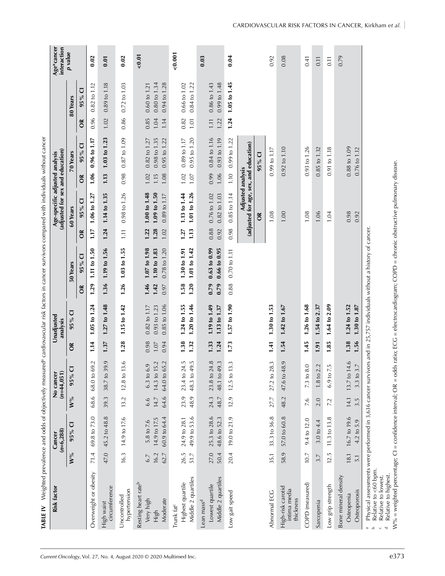| TABLE IV Weighted prevalence and odds of objectively measured <sup>a</sup> cardiovascular risk factors in cancer survivors compared with individuals without cancer                                                                               |                        |                                            |                     |                                                        |                      |                                                         |                                                                      |                      |                                                                    |                      |                                                  |                      |                                                         |                                                                                     |
|---------------------------------------------------------------------------------------------------------------------------------------------------------------------------------------------------------------------------------------------------|------------------------|--------------------------------------------|---------------------|--------------------------------------------------------|----------------------|---------------------------------------------------------|----------------------------------------------------------------------|----------------------|--------------------------------------------------------------------|----------------------|--------------------------------------------------|----------------------|---------------------------------------------------------|-------------------------------------------------------------------------------------|
| Risk factor                                                                                                                                                                                                                                       |                        | $(n=6, 288)$<br>Cancer                     |                     | $(n=44,051)$<br>No cance                               |                      | Unadjusted<br>analysis                                  |                                                                      |                      | (adjusted for sex and education)<br>Age-specific adjusted analysis |                      |                                                  |                      |                                                         | $\begin{array}{c}\n\mathbf{Age*}\text{cancer} \\ \mathbf{interaction}\n\end{array}$ |
|                                                                                                                                                                                                                                                   | $\mathbf{W}^{o\!/\!o}$ | $\overline{\cup}$<br>95%                   | $W$ %               | $\overline{C}$<br>95%                                  | $\delta$             | 95% CI                                                  | 50 Years                                                             |                      | 60 Years                                                           |                      | 70 Years                                         |                      | 80 Years                                                | p value                                                                             |
|                                                                                                                                                                                                                                                   |                        |                                            |                     |                                                        |                      |                                                         | $\overline{\circ}$<br>$95\%$<br>$\tilde{a}$                          | $\tilde{a}$          | 95% CI                                                             | $\alpha$             | $\overline{\cup}$<br>$95\%$                      | õ                    | ਹ<br>$95\%$                                             |                                                                                     |
| Overweight or obesity                                                                                                                                                                                                                             | 71.4                   | 69.8 to 73.0                               | 68.6                | 69.2<br>68.0 to                                        | 1.14                 | 1.05 to 1.24                                            | 1.11 to 1.50<br>1.29                                                 | 1.17                 | 1.06 t01.27                                                        | 1.06                 | 0.96 to 1.17                                     | 0.96                 | $0.82$ to $1.12$                                        | 0.02                                                                                |
| circumference<br>High waist                                                                                                                                                                                                                       | 47.0                   | 45.2 to 48.8                               | 39.3                | 39.9<br>38.7 <sub>to</sub>                             | 1.37                 | $1.27$ to $1.48$                                        | 1.19 to 1.56<br>1.36                                                 | 1.24                 | 1.14 to 1.35                                                       | 1.13                 | 1.03 to 1.23                                     | 1.02                 | $0.89$ to $1.18$                                        | 0.01                                                                                |
| hypertension<br>Uncontrolled                                                                                                                                                                                                                      | 16.3                   | 14.9 to 17.6                               | 13.2                | 13.6<br>12.8 <sub>to</sub>                             | 1.28                 | 1.15 to 1.42                                            | 1.03 to 1.55<br>1.26                                                 | $\overline{11}$      | 0.98 to 1.26                                                       | 0.98                 | $0.87$ to $1.09$                                 | 0.86                 | $0.72$ to $1.03$                                        | 0.02                                                                                |
| Resting heart rate <sup>b</sup><br>Moderate<br>Very high<br>High                                                                                                                                                                                  | 16.2<br>62.7<br>6.7    | 60.9 to 64.4<br>14.9 to 17.5<br>5.8 to 7.6 | 64.6<br>14.7<br>6.6 | 14.3 to 15.2<br>65.2<br>6.9<br>64.0 to<br>6.3 to       | 0.98<br>0.94<br>1.07 | 0.93 to 1.23<br>0.85 to 1.06<br>$0.82 \text{ to } 1.17$ | 1.07 to 1.98<br>1.10 to 1.83<br>0.78 to 1.20<br>1.46<br>1.42<br>0.97 | 1.28<br>1.22<br>1.02 | $1.09$ to $1.50$<br>1.00 to 1.48<br>0.89 to 1.17                   | 1.08<br>1.02<br>1.15 | 0.98 to 1.35<br>0.95 to 1.22<br>$0.82$ to $1.27$ | 0.85<br>1.04<br>1.14 | 0.94 to 1.28<br>$0.80 \text{ to } 1.34$<br>0.60 to 1.21 | 0.01                                                                                |
| Middle 2 quartiles<br>Highest quartile<br>Trunk fat <sup>c</sup>                                                                                                                                                                                  | 26.5<br>51.7           | 49.9 to 53.6<br>24.9 to 28.1               | 23.9<br>48.9        | 24.5<br>48.3 to 49.5<br>23.4 to                        | 1.38<br>1.32         | 1.20 to 1.46<br>1.24 to 1.55                            | 1.01 to 1.42<br>1.30 to 1.91<br>1.20<br>1.58                         | 1.13<br>1.27         | 1.01 to 1.26<br>1.13 to 1.44                                       | 1.02<br>1.07         | $0.95$ to $1.20$<br>$0.89$ to $1.17$             | 0.82<br>$1.01$       | 0.84 to 1.22<br>0.66 to 1.02                            | 0.001                                                                               |
| Middle 2 quartiles<br>Lowest quartile<br>Lean mass <sup>d</sup>                                                                                                                                                                                   | 27.0<br>50.4           | 25.3 to 28.6<br>48.6 to 52.3               | 48.7<br>24.3        | 24.8<br>49.3<br>23.8 <sub>to</sub><br>48.1 to          | 1.24<br>1.33         | 1.19 to 1.49<br>1.13 to 1.37                            | 0.66 to 0.95<br>$0.63$ to $0.99$<br>0.79<br>0.79                     | 0.88<br>0.92         | $0.82$ to $1.03$<br>$0.76$ to $1.02$                               | 1.06<br>0.99         | $0.84$ to $1.16$<br>$0.93$ to $1.19$             | 1.22<br>1.11         | 0.99 to 1.48<br>$0.86 \text{ to } 1.43$                 | 0.03                                                                                |
| Low gait speed                                                                                                                                                                                                                                    | 20.4                   | 19.0 to 21.9                               | 12.9                | 13.3<br>12.5 to                                        | 1.73                 | $1.57$ to $1.90$                                        | 0.70 to 1.11<br>0.88                                                 | 0.98                 | $0.85$ to $1.14$                                                   | 1.10                 | $0.99$ to $1.22$                                 | 1.24                 | 1.05 to 1.45                                            | 0.04                                                                                |
|                                                                                                                                                                                                                                                   |                        |                                            |                     |                                                        |                      |                                                         |                                                                      |                      | (adjusted for age, sex, and education)<br>Adjusted analysis<br>ర్  |                      | 95% CI                                           |                      |                                                         |                                                                                     |
| Abnormal ECG                                                                                                                                                                                                                                      | 35.1                   | 33.3 to 36.8                               | 27.7                | 28.3<br>$27.2$ to                                      | 1.41                 | 1.30 to 1.53                                            |                                                                      |                      | 1.08                                                               |                      | $0.99$ to $1.17$                                 |                      |                                                         | 0.92                                                                                |
| High-risk carotid<br>intima media<br>thickness                                                                                                                                                                                                    | 58.9                   | 57.0 to 60.8                               | 48.2                | 48.9<br>47.6 to                                        | 1.54                 | $1.42$ to $1.67$                                        |                                                                      |                      | 1.00                                                               |                      | $0.92$ to $1.10$                                 |                      |                                                         | 0.08                                                                                |
| COPD (measured)                                                                                                                                                                                                                                   | 10.7                   | 9.4 to 12.0                                | 7.6                 | 8.0<br>$7.3$ to                                        | 1.45                 | 1.26 to 1.68                                            |                                                                      |                      | 1.08                                                               |                      | $0.93$ to $1.26$                                 |                      |                                                         | 0.41                                                                                |
| Sarcopenia                                                                                                                                                                                                                                        | 3.7                    | 3.0 to 4.4                                 | 2.0                 | 2.2<br>$1.8\,\mathrm{to}$                              | 1.91                 | 1.54 to 2.37                                            |                                                                      |                      | 1.06                                                               |                      | $0.85$ to $1.32$                                 |                      |                                                         | 0.11                                                                                |
| Low grip strength                                                                                                                                                                                                                                 | 12.5                   | 11.3 to 13.8                               | 7.2                 | 7.5<br>$6.9$ to                                        | 1.85                 | 1.64 to 2.09                                            |                                                                      |                      | 1.04                                                               |                      | 0.91 to 1.18                                     |                      |                                                         | 0.11                                                                                |
| Bone mineral density<br>Osteoporosis<br>Osteopenia                                                                                                                                                                                                | 181<br>$\overline{5}$  | 16.7 to 19.6<br>4.2 to 5.9                 | 14.1<br>3.5         | 14.6<br>3.7<br>13.7 <sub>to</sub><br>3.3 <sub>to</sub> | 1.38<br>1.56         | 1.24 to 1.52<br>1.30 to 1.87                            |                                                                      |                      | 0.98<br>0.92                                                       |                      | 0.88 to 1.09<br>0.76 to 1.12                     |                      |                                                         | 0.79                                                                                |
| Physical assessments were performed in 3,636 cancer survivors and in 25,757 individuals without a history of cancer<br>Relative to <60 bpm.<br>Relative to lowest.<br>$\scriptsize{\begin{array}{cc} \alpha & \Delta \end{array}}$<br>$\cup$<br>τ |                        |                                            |                     |                                                        |                      |                                                         |                                                                      |                      |                                                                    |                      |                                                  |                      |                                                         |                                                                                     |

W% = weighted percentage; CI = confidence interval; OR = odds ratio; ECG = electrocardiogram; COPD = chronic obstructive pulmonary disease.

 Relative to lowest. Relative to highest.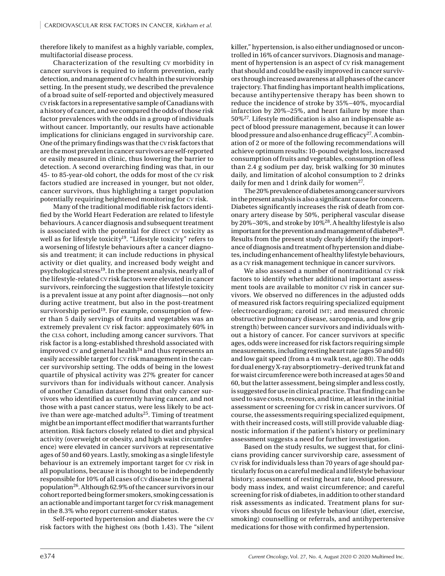therefore likely to manifest as a highly variable, complex, multifactorial disease process.

Characterization of the resulting cv morbidity in cancer survivors is required to inform prevention, early detection, and management of cv health in the survivorship setting. In the present study, we described the prevalence of a broad suite of self-reported and objectively measured cv risk factors in a representative sample of Canadians with a history of cancer, and we compared the odds of those risk factor prevalences with the odds in a group of individuals without cancer. Importantly, our results have actionable implications for clinicians engaged in survivorship care. One of the primary findings was that the cv risk factors that are the most prevalent in cancer survivors are self-reported or easily measured in clinic, thus lowering the barrier to detection. A second overarching finding was that, in our 45- to 85-year-old cohort, the odds for most of the cv risk factors studied are increased in younger, but not older, cancer survivors, thus highlighting a target population potentially requiring heightened monitoring for cv risk.

Many of the traditional modifiable risk factors identified by the World Heart Federation are related to lifestyle behaviours. A cancer diagnosis and subsequent treatment is associated with the potential for direct cv toxicity as well as for lifestyle toxicity<sup>19</sup>. "Lifestyle toxicity" refers to a worsening of lifestyle behaviours after a cancer diagnosis and treatment; it can include reductions in physical activity or diet quality, and increased body weight and psychological stress19. In the present analysis, nearly all of the lifestyle-related cv risk factors were elevated in cancer survivors, reinforcing the suggestion that lifestyle toxicity is a prevalent issue at any point after diagnosis—not only during active treatment, but also in the post-treatment survivorship period<sup>19</sup>. For example, consumption of fewer than 5 daily servings of fruits and vegetables was an extremely prevalent cv risk factor: approximately 60% in the clsa cohort, including among cancer survivors. That risk factor is a long-established threshold associated with improved  $\text{cv}$  and general health<sup>24</sup> and thus represents an easily accessible target for cv risk management in the cancer survivorship setting. The odds of being in the lowest quartile of physical activity was 27% greater for cancer survivors than for individuals without cancer. Analysis of another Canadian dataset found that only cancer survivors who identified as currently having cancer, and not those with a past cancer status, were less likely to be active than were age-matched adults<sup>25</sup>. Timing of treatment might be an important effect modifier that warrants further attention. Risk factors closely related to diet and physical activity (overweight or obesity, and high waist circumference) were elevated in cancer survivors at representative ages of 50 and 60 years. Lastly, smoking as a single lifestyle behaviour is an extremely important target for cv risk in all populations, because it is thought to be independently responsible for 10% of all cases of cv disease in the general population26. Although 62.9% of the cancer survivors in our cohort reported being former smokers, smoking cessation is an actionable and important target for cv risk management in the 8.3% who report current-smoker status.

Self-reported hypertension and diabetes were the cv risk factors with the highest ors (both 1.43). The "silent

killer," hypertension, is also either undiagnosed or uncontrolled in 16% of cancer survivors. Diagnosis and management of hypertension is an aspect of cv risk management that should and could be easily improved in cancer survivors through increased awareness at all phases of the cancer trajectory. That finding has important health implications, because antihypertensive therapy has been shown to reduce the incidence of stroke by 35%–40%, myocardial infarction by 20%–25%, and heart failure by more than 50%27. Lifestyle modification is also an indispensable aspect of blood pressure management, because it can lower blood pressure and also enhance drug efficacy<sup>27</sup>. A combination of 2 or more of the following recommendations will achieve optimum results: 10-pound weight loss, increased consumption of fruits and vegetables, consumption of less than 2.4 g sodium per day, brisk walking for 30 minutes daily, and limitation of alcohol consumption to 2 drinks daily for men and 1 drink daily for women<sup>27</sup>.

The 20% prevalence of diabetes among cancer survivors in the present analysis is also a significant cause for concern. Diabetes significantly increases the risk of death from coronary artery disease by 50%, peripheral vascular disease by 20%–30%, and stroke by 10%28. A healthy lifestyle is also important for the prevention and management of diabetes $^{28}$ . Results from the present study clearly identify the importance of diagnosis and treatment of hypertension and diabetes, including enhancement of healthy lifestyle behaviours, as a cv risk management technique in cancer survivors.

We also assessed a number of nontraditional cv risk factors to identify whether additional important assessment tools are available to monitor cv risk in cancer survivors. We observed no differences in the adjusted odds of measured risk factors requiring specialized equipment (electrocardiogram; carotid imt; and measured chronic obstructive pulmonary disease, sarcopenia, and low grip strength) between cancer survivors and individuals without a history of cancer. For cancer survivors at specific ages, odds were increased for risk factors requiring simple measurements, including resting heart rate (ages 50 and 60) and low gait speed (from a 4 m walk test, age 80). The odds for dual energy X-ray absorptiometry–derived trunk fat and for waist circumference were both increased at ages 50 and 60, but the latter assessment, being simpler and less costly, is suggested for use in clinical practice. That finding can be used to save costs, resources, and time, at least in the initial assessment or screening for cv risk in cancer survivors. Of course, the assessments requiring specialized equipment, with their increased costs, will still provide valuable diagnostic information if the patient's history or preliminary assessment suggests a need for further investigation.

Based on the study results, we suggest that, for clinicians providing cancer survivorship care, assessment of cv risk for individuals less than 70 years of age should particularly focus on a careful medical and lifestyle behaviour history; assessment of resting heart rate, blood pressure, body mass index, and waist circumference; and careful screening for risk of diabetes, in addition to other standard risk assessments as indicated. Treatment plans for survivors should focus on lifestyle behaviour (diet, exercise, smoking) counselling or referrals, and antihypertensive medications for those with confirmed hypertension.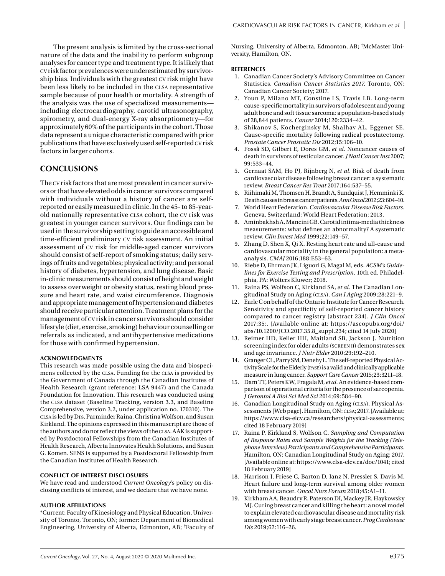The present analysis is limited by the cross-sectional nature of the data and the inability to perform subgroup analyses for cancer type and treatment type. It is likely that cv risk factor prevalences were underestimated by survivorship bias. Individuals with the greatest cv risk might have been less likely to be included in the CLSA representative sample because of poor health or mortality. A strength of the analysis was the use of specialized measurements including electrocardiography, carotid ultrasonography, spirometry, and dual-energy X-ray absorptiometry—for approximately 60% of the participants in the cohort. Those data represent a unique characteristic compared with prior publications that have exclusively used self-reported cv risk factors in larger cohorts.

## **CONCLUSIONS**

The cv risk factors that are most prevalent in cancer survivors or that have elevated odds in cancer survivors compared with individuals without a history of cancer are selfreported or easily measured in clinic. In the 45- to 85-yearold nationally representative clsa cohort, the cv risk was greatest in younger cancer survivors. Our findings can be used in the survivorship setting to guide an accessible and time-efficient preliminary cv risk assessment. An initial assessment of cv risk for middle-aged cancer survivors should consist of self-report of smoking status; daily servings of fruits and vegetables; physical activity; and personal history of diabetes, hypertension, and lung disease. Basic in-clinic measurements should consist of height and weight to assess overweight or obesity status, resting blood pressure and heart rate, and waist circumference. Diagnosis and appropriate management of hypertension and diabetes should receive particular attention. Treatment plans for the management of cv risk in cancer survivors should consider lifestyle (diet, exercise, smoking) behaviour counselling or referrals as indicated, and antihypertensive medications for those with confirmed hypertension.

#### **ACKNOWLEDGMENTS**

This research was made possible using the data and biospecimens collected by the clsa. Funding for the clsa is provided by the Government of Canada through the Canadian Institutes of Health Research (grant reference: LSA 9447) and the Canada Foundation for Innovation. This research was conducted using the clsa dataset (Baseline Tracking, version 3.3, and Baseline Comprehensive, version 3.2, under application no. 170310). The clsa is led by Drs. Parminder Raina, Christina Wolfson, and Susan Kirkland. The opinions expressed in this manuscript are those of the authors and do not reflect the views of the clsa. AAK is supported by Postdoctoral Fellowships from the Canadian Institutes of Health Research, Alberta Innovates Health Solutions, and Susan G. Komen. SENS is supported by a Postdoctoral Fellowship from the Canadian Institutes of Health Research.

#### **CONFLICT OF INTEREST DISCLOSURES**

We have read and understood *Current Oncology'*s policy on disclosing conflicts of interest, and we declare that we have none.

#### **AUTHOR AFFILIATIONS**

\*Current: Faculty of Kinesiology and Physical Education, University of Toronto, Toronto, ON; former: Department of Biomedical Engineering, University of Alberta, Edmonton, AB; †Faculty of Nursing, University of Alberta, Edmonton, AB; ‡McMaster University, Hamilton, ON.

#### **REFERENCES**

- 1. Canadian Cancer Society's Advisory Committee on Cancer Statistics. *Canadian Cancer Statistics 2017.* Toronto, ON: Canadian Cancer Society; 2017.
- 2. Youn P, Milano MT, Constine LS, Travis LB. Long-term cause-specific mortality in survivors of adolescent and young adult bone and soft tissue sarcoma: a population-based study of 28,844 patients. *Cancer* 2014;120:2334–42.
- 3. Shikanov S, Kocherginsky M, Shalhav AL, Eggener SE. Cause-specific mortality following radical prostatectomy. *Prostate Cancer Prostatic Dis* 2012;15:106–10.
- 4. Fosså SD, Gilbert E, Dores GM, *et al.* Noncancer causes of death in survivors of testicular cancer. *J Natl Cancer Inst* 2007; 99:533–44.
- 5. Gernaat SAM, Ho PJ, Rijnberg N, *et al*. Risk of death from cardiovascular disease following breast cancer: a systematic review. *Breast Cancer Res Treat* 2017;164:537–55.
- 6. Riihimaki M, Thomsen H, Brandt A, Sundquist J, Hemminki K. Death causes in breast cancer patients. *Ann Oncol* 2012;23:604–10.
- 7. World Heart Federation. *Cardiovascular Disease Risk Factors.* Geneva, Switzerland: World Heart Federation; 2013.
- 8. Aminbakhsh A, Mancini GB. Carotid intima-media thickness measurements: what defines an abnormality? A systematic review. *Clin Invest Med* 1999;22:149–57.
- 9. Zhang D, Shen X, Qi X. Resting heart rate and all-cause and cardiovascular mortality in the general population: a metaanalysis. *CMAJ* 2016;188:E53–63.
- 10. Riebe D, Ehrman JK, Liguori G, Magal M, eds. *ACSM's Guidelines for Exercise Testing and Prescription.* 10th ed. Philadelphia, PA: Wolters Kluwer; 2018.
- 11. Raina PS, Wolfson C, Kirkland SA, *et al.* The Canadian Longitudinal Study on Aging (clsa). *Can J Aging* 2009;28:221–9.
- 12. Earle C on behalf of the Ontario Institute for Cancer Research. Sensitivity and specificity of self-reported cancer history compared to cancer registry [abstract 234]. *J Clin Oncol* 2017;35:. [Available online at: [https://ascopubs.org/doi/](https://ascopubs.org/doi/abs/10.1200/JCO.2017.35.8_suppl.234) [abs/10.1200/JCO.2017.35.8\\_suppl.234;](https://ascopubs.org/doi/abs/10.1200/JCO.2017.35.8_suppl.234) cited 14 July 2020]
- 13. Reimer HD, Keller HH, Maitland SB, Jackson J. Nutrition screening index for older adults (SCREEN II) demonstrates sex and age invariance. *J Nutr Elder* 2010;29:192–210.
- 14. Granger CL, Parry SM, Denehy L. The self-reported Physical Activity Scale for the Elderly (pase) is a valid and clinically applicable measure in lung cancer. *Support Care Cancer* 2015;23:3211–18.
- 15. Dam TT, Peters KW, Fragala M, *et al.* An evidence-based comparison of operational criteria for the presence of sarcopenia. *J Gerontol A Biol Sci Med Sci* 2014;69:584–90.
- 16. Canadian Longitudinal Study on Aging (CLSA). Physical Assessments [Web page]. Hamilton, ON: CLSA; 2017. [Available at: [https://www.clsa-elcv.ca/researchers/physical-assessments;](https://www.clsa-elcv.ca/researchers/physical-assessments) cited 18 February 2019]
- 17. Raina P, Kirkland S, Wolfson C. *Sampling and Computation of Response Rates and Sample Weights for the Tracking (Telephone Interview) Participants and Comprehensive Participants.* Hamilton, ON: Canadian Longitudinal Study on Aging; 2017. [Available online at:<https://www.clsa-elcv.ca/doc/1041>; cited 18 February 2019]
- 18. Harrison J, Friese C, Barton D, Janz N, Pressler S, Davis M. Heart failure and long-term survival among older women with breast cancer. *Oncol Nurs Forum* 2018;45:A1–11.
- 19. Kirkham AA, Beaudry R, Paterson DI, Mackey JR, Haykowsky MJ. Curing breast cancer and killing the heart: a novel model to explain elevated cardiovascular disease and mortality risk among women with early stage breast cancer. *Prog Cardiovasc Dis* 2019;62:116–26.